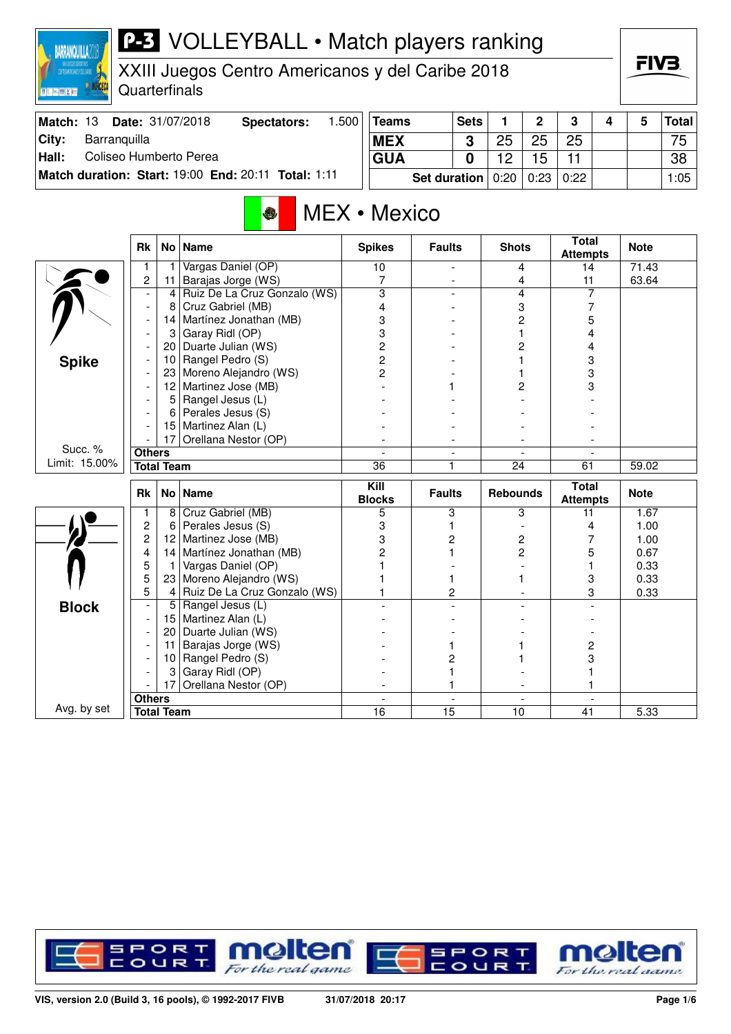## **P-3** VOLLEYBALL • Match players ranking **BARRANQUILLA2018** FIV3. XXIII Juegos Centro Americanos y del Caribe 2018 **Quarterfinals BOULDER AND STATE Match: 13 Date: 31/07/2018 Spectators: 1.500 Teams Sets 1 2 3 4 5 Total City: Barranquilla 3** 25 25 25 75 **MEX Hall:** Coliseo Humberto Perea **GUA 0** 12 15 11 38 **Match duration: Start:** 19:00 **End:** 20:11 **Total:** 1:11 **Set duration** 0:20 0:23 0:22 1:05 MEX • Mexico **Attempts Note Rk No Name Spikes Faults Shots Total** 1 1 Vargas Daniel (OP) 10 - 4 14 71.43<br>
2 11 Barajas Jorge (WS) 7 - 4 11 63.64 11 Barajas Jorge (WS) 7 - 4 11<br>
4 Ruiz De La Cruz Gonzalo (WS) 3 - 4 7  $\sum_{n=1}^{\infty}$ - 4 Ruiz De La Cruz Gonzalo (WS) 3 - 4 7<br>- 8 Cruz Gabriel (MB) 4 - 3 7 Cruz Gabriel (MB)  $\begin{array}{ccc} 4 & 4 & - & 3 \\ 4 & - & - & 3 \\ 1 & - & - & - \end{array}$ - 14 Martínez Jonathan (MB) 3 - 2 5 - 3 Garay Ridl (OP) 3 - 1 4<br>- 20 Duarte Julian (WS) 2 - 2 4 - 20 Duarte Julian (WS) 2 - 2 4 - 10 Rangel Pedro (S) 2 - 1 3 **Spike** Moreno Alejandro (WS)  $\begin{array}{|c|c|c|c|c|c|}\n\hline\n2&2&1&1&3 \\
\hline\n3&3&1&2&3\n\end{array}$  $-$  12 Martinez Jose (MB)  $-$  1 1 2 - 5 Rangel Jesus (L) - - - - - 6 Perales Jesus (S) - - - - - 15 Martinez Alan (L) - - - - - 17 Orellana Nestor (OP) - - - - Succ. % **Others** - - - - Limit: 15.00% **Total Team** 36 1 24 61 59.02 **Rk No Name Kill**

|              | <b>Rk</b>     |                   | No   Name                    | Kill<br><b>Blocks</b> | <b>Faults</b> | <b>Rebounds</b> | Total<br><b>Attempts</b> | <b>Note</b> |
|--------------|---------------|-------------------|------------------------------|-----------------------|---------------|-----------------|--------------------------|-------------|
|              |               | 8                 | Cruz Gabriel (MB)            |                       |               | 3               |                          | 1.67        |
|              | 2             | 6                 | Perales Jesus (S)            |                       |               |                 |                          | 1.00        |
|              | 2             | 12                | Martinez Jose (MB)           |                       |               |                 |                          | 1.00        |
|              | 4             | 14                | Martínez Jonathan (MB)       |                       |               |                 |                          | 0.67        |
|              | 5             |                   | Vargas Daniel (OP)           |                       |               |                 |                          | 0.33        |
|              | 5             | 23                | Moreno Alejandro (WS)        |                       |               |                 |                          | 0.33        |
|              | 5             | 4                 | Ruiz De La Cruz Gonzalo (WS) |                       |               |                 | 3                        | 0.33        |
| <b>Block</b> |               | 5                 | Rangel Jesus (L)             |                       |               |                 |                          |             |
|              |               | 15                | Martinez Alan (L)            |                       |               |                 |                          |             |
|              |               | 20                | Duarte Julian (WS)           |                       |               |                 |                          |             |
|              |               | 11                | Barajas Jorge (WS)           |                       |               |                 |                          |             |
|              |               | 10                | Rangel Pedro (S)             |                       |               |                 |                          |             |
|              |               | 3                 | Garay Ridl (OP)              |                       |               |                 |                          |             |
|              |               | 17                | Orellana Nestor (OP)         |                       |               |                 |                          |             |
|              | <b>Others</b> |                   |                              |                       |               |                 |                          |             |
| Avg. by set  |               | <b>Total Team</b> |                              | 16                    | 15            | 10              | 41                       | 5.33        |

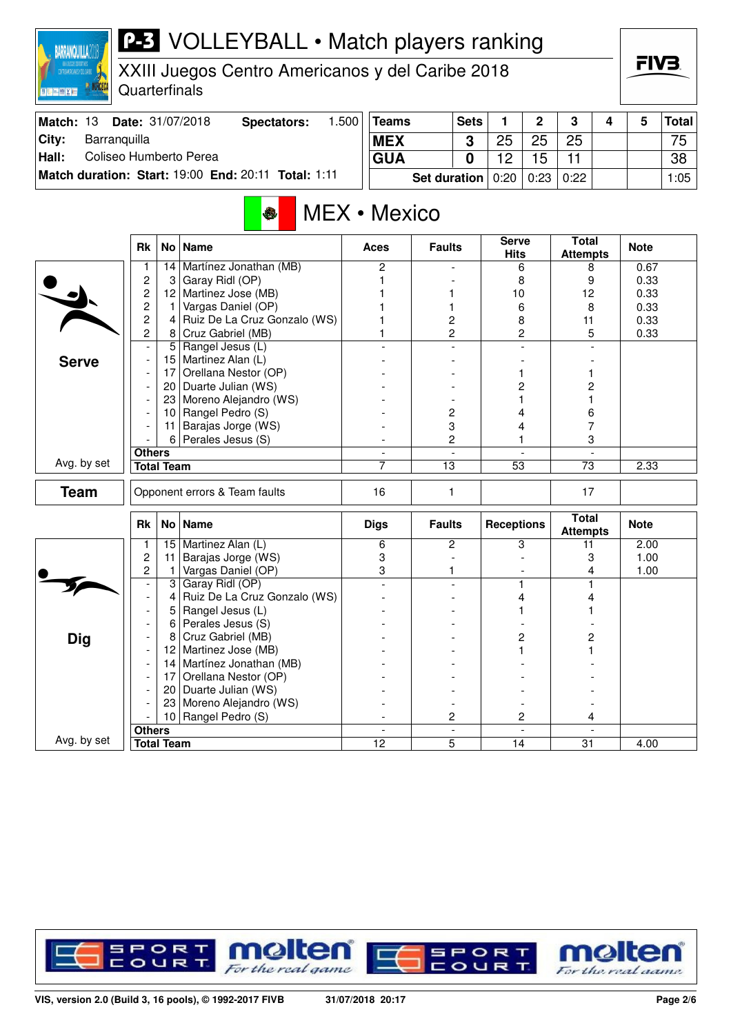| <b>P-3</b> VOLLEYBALL • Match players ranking<br><b>BARRANQUILLA</b><br>XXIII Juegos Centro Americanos y del Caribe 2018<br><b>ENTROLANDER TO CARNET</b><br><b>ANDREC</b><br>Quarterfinals<br><b>图 图 画 图 图 图 图</b><br>Date: 31/07/2018 |                                  |                   |                                                     |                          |                 |                     |                |                   |              |                                 |   | FIV3.        |              |  |
|----------------------------------------------------------------------------------------------------------------------------------------------------------------------------------------------------------------------------------------|----------------------------------|-------------------|-----------------------------------------------------|--------------------------|-----------------|---------------------|----------------|-------------------|--------------|---------------------------------|---|--------------|--------------|--|
| Match: 13                                                                                                                                                                                                                              |                                  |                   | <b>Spectators:</b>                                  | 1.500                    | <b>Teams</b>    |                     | <b>Sets</b>    | 1                 | $\mathbf{2}$ | 3                               | 4 | 5            | <b>Total</b> |  |
| Barranquilla<br>City:                                                                                                                                                                                                                  |                                  |                   |                                                     |                          | <b>MEX</b>      |                     | 3              | 25                | 25           | 25                              |   |              | 75           |  |
| Coliseo Humberto Perea<br>Hall:                                                                                                                                                                                                        |                                  |                   |                                                     |                          | <b>GUA</b>      |                     | 0              | 12                | 15           | 11                              |   |              | 38           |  |
|                                                                                                                                                                                                                                        |                                  |                   | Match duration: Start: 19:00 End: 20:11 Total: 1:11 |                          |                 | <b>Set duration</b> |                | 0:20              | 0:23         | 0:22                            |   |              | 1:05         |  |
| <b>MEX</b> • Mexico<br><b>S</b><br><b>Total</b><br><b>Serve</b><br>No Name<br><b>Faults</b>                                                                                                                                            |                                  |                   |                                                     |                          |                 |                     |                |                   |              |                                 |   |              |              |  |
|                                                                                                                                                                                                                                        | Rk                               |                   |                                                     |                          | Aces            |                     |                | <b>Hits</b>       |              | <b>Attempts</b>                 |   | <b>Note</b>  |              |  |
|                                                                                                                                                                                                                                        |                                  | 14                | Martínez Jonathan (MB)                              |                          | 2               |                     |                |                   | 6            | 8                               |   | 0.67         |              |  |
|                                                                                                                                                                                                                                        | $\overline{c}$<br>$\overline{c}$ | 3                 | Garay Ridl (OP)<br>12 Martinez Jose (MB)            |                          |                 |                     |                | 8<br>10           |              | 9<br>12                         |   | 0.33<br>0.33 |              |  |
|                                                                                                                                                                                                                                        | 2                                | 1.                | Vargas Daniel (OP)                                  |                          |                 | 1                   |                | 6                 |              | 8                               |   | 0.33         |              |  |
|                                                                                                                                                                                                                                        | 2                                | $\vert$           | Ruiz De La Cruz Gonzalo (WS)                        |                          |                 | 2                   |                | 8                 |              | 11                              |   | 0.33         |              |  |
|                                                                                                                                                                                                                                        | 2                                |                   | 8 Cruz Gabriel (MB)                                 |                          |                 |                     | 2              | 2                 |              | 5                               |   | 0.33         |              |  |
|                                                                                                                                                                                                                                        |                                  | 5                 | Rangel Jesus (L)                                    |                          |                 |                     |                |                   |              |                                 |   |              |              |  |
| <b>Serve</b>                                                                                                                                                                                                                           |                                  |                   | 15   Martinez Alan (L)                              |                          |                 |                     |                |                   |              |                                 |   |              |              |  |
|                                                                                                                                                                                                                                        |                                  |                   | 17 Orellana Nestor (OP)                             |                          |                 |                     |                |                   |              |                                 |   |              |              |  |
|                                                                                                                                                                                                                                        |                                  |                   | 20 Duarte Julian (WS)                               |                          |                 |                     |                |                   | 2            | 2                               |   |              |              |  |
|                                                                                                                                                                                                                                        |                                  |                   | 23 Moreno Alejandro (WS)<br>Rangel Pedro (S)        |                          |                 |                     |                |                   |              |                                 |   |              |              |  |
|                                                                                                                                                                                                                                        |                                  | 10<br>11          | Barajas Jorge (WS)                                  |                          |                 |                     | 2<br>3         |                   | 4<br>4       | 6<br>7                          |   |              |              |  |
|                                                                                                                                                                                                                                        |                                  | 6                 | Perales Jesus (S)                                   |                          |                 |                     | 2              |                   |              |                                 | 3 |              |              |  |
|                                                                                                                                                                                                                                        | <b>Others</b>                    |                   |                                                     | $\overline{\phantom{a}}$ |                 |                     | $\overline{a}$ |                   |              |                                 |   |              |              |  |
| Avg. by set                                                                                                                                                                                                                            |                                  | <b>Total Team</b> |                                                     |                          | 7               |                     | 13<br>53       |                   |              | 73                              |   | 2.33         |              |  |
| <b>Team</b>                                                                                                                                                                                                                            |                                  |                   | Opponent errors & Team faults                       |                          | 16              | 1                   |                |                   | 17           |                                 |   |              |              |  |
|                                                                                                                                                                                                                                        | <b>Rk</b>                        | No <sub>1</sub>   | <b>Name</b>                                         |                          | <b>Digs</b>     | <b>Faults</b>       |                | <b>Receptions</b> |              | <b>Total</b><br><b>Attempts</b> |   | <b>Note</b>  |              |  |
|                                                                                                                                                                                                                                        | 1                                |                   | 15 Martinez Alan (L)                                |                          | 6               |                     | 2              |                   | 3            | 11                              |   | 2.00         |              |  |
|                                                                                                                                                                                                                                        | 2                                | 11                | Barajas Jorge (WS)                                  |                          | 3               |                     |                |                   |              |                                 | 3 | 1.00         |              |  |
|                                                                                                                                                                                                                                        | 2                                | 1                 | Vargas Daniel (OP)                                  |                          | 3               | 1                   |                |                   |              |                                 | 4 | 1.00         |              |  |
|                                                                                                                                                                                                                                        |                                  | 4                 | Garay Ridl (OP)                                     |                          |                 |                     |                |                   | 4            | 4                               |   |              |              |  |
|                                                                                                                                                                                                                                        |                                  | 5                 | Ruiz De La Cruz Gonzalo (WS)<br>Rangel Jesus (L)    |                          |                 |                     |                |                   |              |                                 |   |              |              |  |
|                                                                                                                                                                                                                                        |                                  | 6                 | Perales Jesus (S)                                   |                          |                 |                     |                |                   |              |                                 |   |              |              |  |
| <b>Dig</b>                                                                                                                                                                                                                             |                                  | 8                 | Cruz Gabriel (MB)                                   |                          |                 |                     |                |                   | 2            |                                 | 2 |              |              |  |
|                                                                                                                                                                                                                                        |                                  | 12                | Martinez Jose (MB)                                  |                          |                 |                     |                |                   |              |                                 |   |              |              |  |
|                                                                                                                                                                                                                                        |                                  | 14                | Martínez Jonathan (MB)                              |                          |                 |                     |                |                   |              |                                 |   |              |              |  |
|                                                                                                                                                                                                                                        |                                  | 17                | Orellana Nestor (OP)                                |                          |                 |                     |                |                   |              |                                 |   |              |              |  |
|                                                                                                                                                                                                                                        |                                  | 20 <sub>1</sub>   | Duarte Julian (WS)                                  |                          |                 |                     |                |                   |              |                                 |   |              |              |  |
|                                                                                                                                                                                                                                        |                                  |                   | 23 Moreno Alejandro (WS)                            |                          |                 |                     |                |                   |              |                                 |   |              |              |  |
|                                                                                                                                                                                                                                        | <b>Others</b>                    | 10 <sup>1</sup>   | Rangel Pedro (S)                                    |                          |                 |                     | 2              |                   | 2            |                                 | 4 |              |              |  |
| Avg. by set                                                                                                                                                                                                                            |                                  | <b>Total Team</b> |                                                     |                          | $\overline{12}$ |                     | $\overline{5}$ | $\overline{14}$   |              | $\overline{31}$                 |   | 4.00         |              |  |

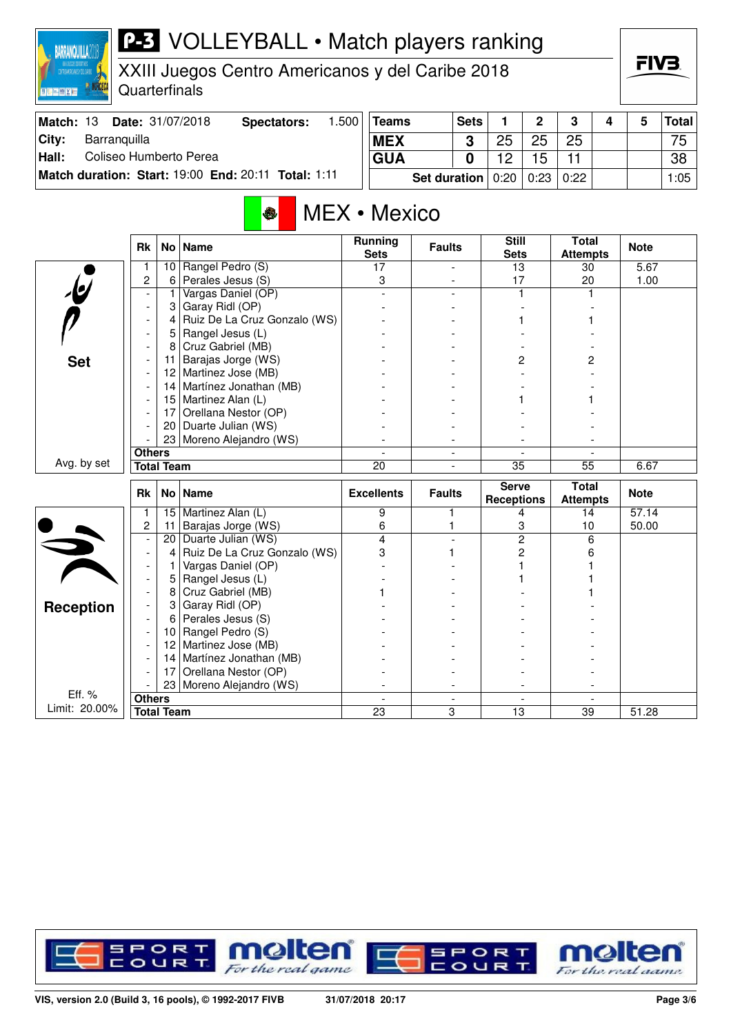## **P-3** VOLLEYBALL • Match players ranking

XXIII Juegos Centro Americanos y del Caribe 2018

Quarterfinals

**BARRANQUILLA** 

**BOOT AND AND AND ART** 

| <b>Match: 13</b> |              | <b>Date: 31/07/2018</b> | Spectators:                                         | .500 | Teams      | <b>Sets</b>           |    | ົ                    | -2   | 4 | Total ∣ |
|------------------|--------------|-------------------------|-----------------------------------------------------|------|------------|-----------------------|----|----------------------|------|---|---------|
| City:            | Barranquilla |                         |                                                     |      | <b>MEX</b> | າ                     | 25 | 25                   | 25   |   | 75      |
| Hall:            |              | Coliseo Humberto Perea  |                                                     |      | <b>GUA</b> |                       |    |                      |      |   | 38      |
|                  |              |                         | Match duration: Start: 19:00 End: 20:11 Total: 1:11 |      |            | Set duration $ 0:20 $ |    | $\vert$ 0:23 $\vert$ | 0:22 |   | 1:05    |

## MEX • Mexico

|                         | <b>Rk</b>                | No <sub>1</sub>   | <b>Name</b>                  | <b>Running</b><br><b>Sets</b> | <b>Faults</b> | <b>Still</b><br><b>Sets</b>       | <b>Total</b><br><b>Attempts</b> | <b>Note</b> |
|-------------------------|--------------------------|-------------------|------------------------------|-------------------------------|---------------|-----------------------------------|---------------------------------|-------------|
|                         | 1                        | 10                | Rangel Pedro (S)             | 17                            |               | 13                                | 30                              | 5.67        |
|                         | $\overline{c}$           | 6                 | Perales Jesus (S)            | 3                             |               | 17                                | 20                              | 1.00        |
|                         | $\overline{\phantom{a}}$ | $\mathbf{1}$      | Vargas Daniel (OP)           |                               |               |                                   |                                 |             |
|                         | $\overline{\phantom{a}}$ | 3                 | Garay Ridl (OP)              |                               |               |                                   |                                 |             |
|                         |                          | 4                 | Ruiz De La Cruz Gonzalo (WS) |                               |               |                                   |                                 |             |
|                         | $\overline{\phantom{a}}$ | 5                 | Rangel Jesus (L)             |                               |               |                                   |                                 |             |
|                         | $\overline{\phantom{a}}$ | 8                 | Cruz Gabriel (MB)            |                               |               |                                   |                                 |             |
| <b>Set</b>              |                          | 11                | Barajas Jorge (WS)           |                               |               | 2                                 | 2                               |             |
|                         |                          | 12 <sup>2</sup>   | Martinez Jose (MB)           |                               |               |                                   |                                 |             |
|                         |                          | 14                | Martínez Jonathan (MB)       |                               |               |                                   |                                 |             |
|                         |                          |                   | 15 Martinez Alan (L)         |                               |               |                                   |                                 |             |
|                         |                          | 17 <sup>1</sup>   | Orellana Nestor (OP)         |                               |               |                                   |                                 |             |
|                         |                          | 20 <sub>1</sub>   | Duarte Julian (WS)           |                               |               |                                   |                                 |             |
|                         |                          |                   | 23 Moreno Alejandro (WS)     |                               |               |                                   |                                 |             |
|                         | <b>Others</b>            |                   |                              |                               |               |                                   |                                 |             |
| Avg. by set             |                          | <b>Total Team</b> |                              | $\overline{20}$               |               | $\overline{35}$                   | $\overline{55}$                 | 6.67        |
|                         |                          |                   |                              |                               |               |                                   |                                 |             |
|                         | <b>Rk</b>                |                   | No Name                      | <b>Excellents</b>             | <b>Faults</b> | <b>Serve</b><br><b>Receptions</b> | Total<br><b>Attempts</b>        | <b>Note</b> |
|                         | 1                        | 15                | Martinez Alan (L)            | 9                             | 1             | 4                                 | 14                              | 57.14       |
|                         | $\overline{c}$           | 11                | Barajas Jorge (WS)           | 6                             | 1             | 3                                 | 10                              | 50.00       |
|                         |                          | 20                | Duarte Julian (WS)           | 4                             |               | $\overline{2}$                    | 6                               |             |
|                         |                          | 4                 | Ruiz De La Cruz Gonzalo (WS) | 3                             | 1             | 2                                 | 6                               |             |
|                         |                          | 1                 | Vargas Daniel (OP)           |                               |               |                                   |                                 |             |
|                         | $\blacksquare$           | 5                 | Rangel Jesus (L)             |                               |               |                                   |                                 |             |
|                         |                          | 8                 | Cruz Gabriel (MB)            |                               |               |                                   |                                 |             |
|                         |                          | 3                 | Garay Ridl (OP)              |                               |               |                                   |                                 |             |
| <b>Reception</b>        |                          | 6                 | Perales Jesus (S)            |                               |               |                                   |                                 |             |
|                         |                          | 10                | Rangel Pedro (S)             |                               |               |                                   |                                 |             |
|                         |                          | 12                | Martinez Jose (MB)           |                               |               |                                   |                                 |             |
|                         |                          | 14                | Martínez Jonathan (MB)       |                               |               |                                   |                                 |             |
|                         |                          | 17                | Orellana Nestor (OP)         |                               |               |                                   |                                 |             |
|                         |                          | 23                | Moreno Alejandro (WS)        |                               |               |                                   |                                 |             |
| Eff. %<br>Limit: 20.00% | <b>Others</b>            | <b>Total Team</b> |                              | 23                            | 3             | $\overline{13}$                   | 39                              | 51.28       |



FIV<sub>3</sub>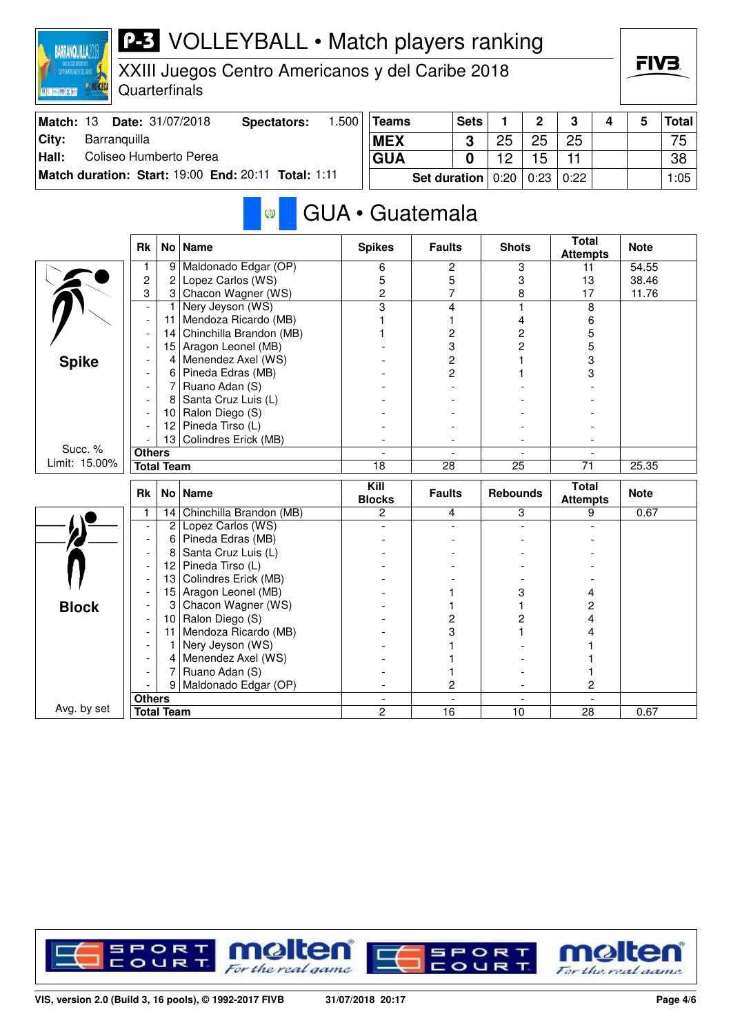| CONTIGUALDISCANDS 1 DEL CARRE - 1<br><b>Miller (mill 600)</b> X (and | Quarterfinals                    |                   | XXIII Juegos Centro Americanos y del Caribe 2018    |                |                          |                     |                 |                 |                |                                 |      | ГІУӘ        |              |
|----------------------------------------------------------------------|----------------------------------|-------------------|-----------------------------------------------------|----------------|--------------------------|---------------------|-----------------|-----------------|----------------|---------------------------------|------|-------------|--------------|
| Match: 13                                                            |                                  |                   | Date: 31/07/2018<br><b>Spectators:</b>              | 1.500          | <b>Teams</b>             |                     | <b>Sets</b>     | 1               | $\overline{2}$ | 3                               | 4    | 5           | <b>Total</b> |
| Barranquilla<br>City:                                                |                                  |                   |                                                     |                | <b>MEX</b>               |                     | 3               | 25              | 25             | 25                              |      |             | 75           |
| Coliseo Humberto Perea<br>Hall:                                      |                                  |                   |                                                     |                | <b>GUA</b>               |                     | 0               | 12              | 15             | 11                              |      |             | 38           |
|                                                                      |                                  |                   | Match duration: Start: 19:00 End: 20:11 Total: 1:11 |                |                          | <b>Set duration</b> |                 | 0:20            | 0:23           | 0:22                            |      |             | 1:05         |
|                                                                      |                                  |                   | Ø                                                   |                | GUA · Guatemala          |                     |                 |                 |                |                                 |      |             |              |
|                                                                      | <b>Rk</b>                        |                   | No   Name                                           |                | <b>Spikes</b>            | <b>Faults</b>       |                 | <b>Shots</b>    |                | <b>Total</b><br><b>Attempts</b> |      | <b>Note</b> |              |
|                                                                      | 1                                |                   | 9 Maldonado Edgar (OP)                              |                | 6                        | $\mathbf{2}$        |                 |                 | 3              | 11                              |      | 54.55       |              |
|                                                                      | $\overline{c}$                   | 2                 | Lopez Carlos (WS)                                   |                | 5                        |                     | 5               |                 | 3              | 13                              |      | 38.46       |              |
|                                                                      | 3                                | 3<br>$\mathbf{1}$ | Chacon Wagner (WS)<br>Nery Jeyson (WS)              |                | 2                        |                     | 7               |                 | 8<br>1         | 17<br>8                         |      | 11.76       |              |
|                                                                      |                                  | 11                | Mendoza Ricardo (MB)                                |                | 3<br>4<br>1              |                     |                 |                 |                |                                 |      |             |              |
|                                                                      |                                  | 14                | Chinchilla Brandon (MB)                             |                | 2                        |                     |                 | 4<br>2          |                | 6<br>5                          |      |             |              |
|                                                                      |                                  | 15                | Aragon Leonel (MB)                                  |                |                          |                     | 3               |                 | 2              | 5                               |      |             |              |
| <b>Spike</b>                                                         |                                  | 4                 | Menendez Axel (WS)                                  |                |                          |                     | $\overline{c}$  |                 |                | 3                               |      |             |              |
|                                                                      |                                  | 6.                | Pineda Edras (MB)                                   |                |                          |                     | 2               |                 |                | 3                               |      |             |              |
|                                                                      |                                  | 7                 | Ruano Adan (S)                                      |                |                          |                     |                 |                 |                |                                 |      |             |              |
|                                                                      |                                  | 8                 | Santa Cruz Luis (L)                                 |                |                          |                     |                 |                 |                |                                 |      |             |              |
|                                                                      |                                  | 10                | Ralon Diego (S)                                     |                |                          |                     |                 |                 |                |                                 |      |             |              |
|                                                                      |                                  | 12                | Pineda Tirso (L)                                    |                |                          |                     |                 |                 |                |                                 |      |             |              |
| Succ. %                                                              |                                  | 13                | Colindres Erick (MB)                                |                |                          |                     |                 |                 |                |                                 |      |             |              |
| Limit: 15.00%                                                        | <b>Others</b>                    |                   |                                                     |                |                          |                     |                 | 25              |                |                                 |      |             |              |
|                                                                      |                                  | <b>Total Team</b> |                                                     |                | 18                       |                     | $\overline{28}$ |                 |                | $\overline{71}$                 |      | 25.35       |              |
|                                                                      | Rk                               | No                | <b>Name</b>                                         |                | Kill<br><b>Blocks</b>    | <b>Faults</b>       |                 | <b>Rebounds</b> |                | <b>Total</b><br><b>Attempts</b> |      | <b>Note</b> |              |
|                                                                      | 1                                | 14                | Chinchilla Brandon (MB)                             |                | 2                        |                     | 4               |                 | 3              | 9                               |      | 0.67        |              |
|                                                                      |                                  | $\overline{2}$    | Lopez Carlos (WS)                                   |                |                          |                     |                 |                 |                |                                 |      |             |              |
|                                                                      | $\overline{\phantom{a}}$         | 6                 | Pineda Edras (MB)                                   |                |                          |                     |                 |                 |                |                                 |      |             |              |
|                                                                      |                                  | 8                 | Santa Cruz Luis (L)                                 |                |                          |                     |                 |                 |                |                                 |      |             |              |
|                                                                      |                                  | 12<br>13          | Pineda Tirso (L)<br>Colindres Erick (MB)            |                |                          |                     |                 |                 |                |                                 |      |             |              |
|                                                                      |                                  | 15                | Aragon Leonel (MB)                                  |                |                          |                     |                 | 3               |                | 4                               |      |             |              |
| <b>Block</b>                                                         |                                  | 3                 | Chacon Wagner (WS)                                  |                |                          |                     |                 | 1               |                | 2                               |      |             |              |
|                                                                      |                                  | 10                | Ralon Diego (S)                                     |                |                          |                     | 2               |                 | 2              | 4                               |      |             |              |
|                                                                      |                                  | 11                | Mendoza Ricardo (MB)                                |                |                          | 3                   |                 | 1               |                | 4                               |      |             |              |
|                                                                      |                                  |                   | Nery Jeyson (WS)                                    |                |                          |                     |                 |                 |                |                                 |      |             |              |
|                                                                      |                                  |                   | Menendez Axel (WS)                                  |                |                          |                     |                 |                 |                |                                 |      |             |              |
|                                                                      |                                  |                   | Ruano Adan (S)                                      |                |                          | 1                   |                 |                 |                |                                 |      |             |              |
|                                                                      |                                  | 9                 | Maldonado Edgar (OP)                                |                |                          |                     | 2               |                 |                | 2                               |      |             |              |
|                                                                      | <b>Others</b>                    |                   |                                                     |                | $\overline{\phantom{a}}$ |                     | $\blacksquare$  |                 |                |                                 |      |             |              |
|                                                                      | Avg. by set<br><b>Total Team</b> |                   |                                                     | $\overline{c}$ | 16                       |                     | 10              |                 | 28             |                                 | 0.67 |             |              |

VOLLEYBALL • Match players ranking

**BARRANQUILLA201** 



FIV<sub>3</sub>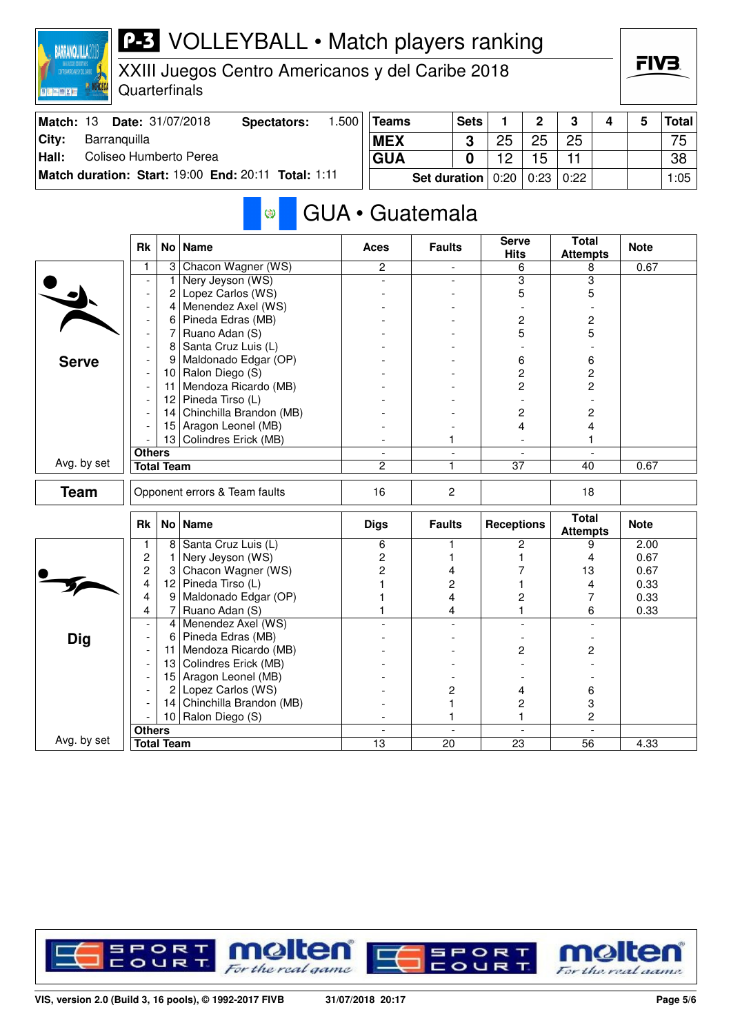| XXII (LOCOS DOPORTIVOS)<br>Controvaciocanos y del carine<br>XXIII Juegos Centro Americanos y del Caribe 2018<br>Quarterfinals<br>图片图像文庫<br>Date: 31/07/2018 |                          |                   |                                                     |       |                 |                     |                          |                             |               |                                 |   |              | FIV3.        |
|-------------------------------------------------------------------------------------------------------------------------------------------------------------|--------------------------|-------------------|-----------------------------------------------------|-------|-----------------|---------------------|--------------------------|-----------------------------|---------------|---------------------------------|---|--------------|--------------|
| Match: 13                                                                                                                                                   |                          |                   | <b>Spectators:</b>                                  | 1.500 | <b>Teams</b>    |                     | <b>Sets</b>              | 1.                          | $\mathbf 2$   | 3                               | 4 | 5            | <b>Total</b> |
| City:<br>Barranquilla                                                                                                                                       |                          |                   |                                                     |       | <b>MEX</b>      |                     | 3                        | 25                          | 25            | 25                              |   |              | 75           |
| Coliseo Humberto Perea<br>Hall:                                                                                                                             |                          |                   |                                                     |       | <b>GUA</b>      |                     | $\bf{0}$                 | 12                          | 15            | 11                              |   |              | 38           |
|                                                                                                                                                             |                          |                   | Match duration: Start: 19:00 End: 20:11 Total: 1:11 |       |                 | <b>Set duration</b> |                          | 0:20                        | 0:23          | 0:22                            |   |              | 1:05         |
|                                                                                                                                                             |                          |                   | Ø                                                   |       | GUA · Guatemala |                     |                          |                             |               |                                 |   |              |              |
|                                                                                                                                                             | <b>Rk</b>                |                   | No   Name                                           |       | Aces            | <b>Faults</b>       |                          | <b>Serve</b><br><b>Hits</b> |               | <b>Total</b><br><b>Attempts</b> |   | <b>Note</b>  |              |
|                                                                                                                                                             | 1                        |                   | 3 Chacon Wagner (WS)                                |       | $\overline{2}$  |                     | $\overline{\phantom{a}}$ |                             | 6             | 8                               |   | 0.67         |              |
|                                                                                                                                                             |                          | 1                 | Nery Jeyson (WS)                                    |       |                 |                     |                          |                             | 3             | 3                               |   |              |              |
|                                                                                                                                                             |                          | 2                 | Lopez Carlos (WS)                                   |       |                 |                     |                          |                             | 5             | 5                               |   |              |              |
|                                                                                                                                                             |                          | $\vert$           | Menendez Axel (WS)                                  |       |                 |                     |                          |                             |               |                                 |   |              |              |
|                                                                                                                                                             |                          | 6                 | Pineda Edras (MB)                                   |       |                 |                     |                          |                             | 2             | 2                               |   |              |              |
|                                                                                                                                                             |                          | 7                 | Ruano Adan (S)                                      |       |                 |                     |                          |                             | 5             | 5                               |   |              |              |
|                                                                                                                                                             |                          | 8                 | Santa Cruz Luis (L)                                 |       |                 |                     |                          |                             |               |                                 |   |              |              |
| <b>Serve</b>                                                                                                                                                |                          | 9                 | Maldonado Edgar (OP)<br>10 Ralon Diego $(S)$        |       |                 |                     |                          |                             | 6<br>2        | 6<br>2                          |   |              |              |
|                                                                                                                                                             |                          | 11 <sup>1</sup>   | Mendoza Ricardo (MB)                                |       |                 |                     |                          |                             | 2             | 2                               |   |              |              |
|                                                                                                                                                             |                          | 12                | Pineda Tirso (L)                                    |       |                 |                     |                          |                             |               |                                 |   |              |              |
|                                                                                                                                                             |                          | 14                | Chinchilla Brandon (MB)                             |       |                 |                     |                          |                             | 2             | 2                               |   |              |              |
|                                                                                                                                                             |                          | 15                | Aragon Leonel (MB)                                  |       |                 |                     |                          |                             | 4             | 4                               |   |              |              |
|                                                                                                                                                             |                          | 13                | Colindres Erick (MB)                                |       |                 | 1                   |                          |                             |               | 1                               |   |              |              |
|                                                                                                                                                             | <b>Others</b>            |                   |                                                     |       | $\blacksquare$  |                     | $\equiv$                 |                             | $\sim$        |                                 |   |              |              |
| Avg. by set                                                                                                                                                 |                          | <b>Total Team</b> |                                                     |       | $\mathcal{P}$   | 1                   |                          | 37                          |               | 40                              |   | 0.67         |              |
| <b>Team</b>                                                                                                                                                 |                          |                   | Opponent errors & Team faults                       |       | 16              | $\overline{c}$      |                          |                             |               | 18                              |   |              |              |
|                                                                                                                                                             | Rk                       |                   | No   Name                                           |       | <b>Digs</b>     | <b>Faults</b>       |                          | <b>Receptions</b>           |               | <b>Total</b><br><b>Attempts</b> |   | <b>Note</b>  |              |
|                                                                                                                                                             | 1                        |                   | 8 Santa Cruz Luis (L)                               |       | 6               |                     |                          |                             | 2             | 9                               |   | 2.00         |              |
|                                                                                                                                                             | 2                        | $\mathbf{1}$      | Nery Jeyson (WS)                                    |       | 2               |                     |                          |                             |               | 4                               |   | 0.67         |              |
|                                                                                                                                                             | 2<br>4                   | 3                 | Chacon Wagner (WS)                                  |       | 2               | 4                   |                          |                             | 7             | 13                              |   | 0.67         |              |
|                                                                                                                                                             | 4                        | 12<br>9           | Pineda Tirso (L)<br>Maldonado Edgar (OP)            |       |                 | 2<br>4              |                          |                             | 2             | 4<br>7                          |   | 0.33<br>0.33 |              |
|                                                                                                                                                             | 4                        | $7\vert$          | Ruano Adan (S)                                      |       |                 |                     |                          |                             | 1             | 6                               |   | 0.33         |              |
|                                                                                                                                                             |                          | 4                 | Menendez Axel (WS)                                  |       |                 | 4                   |                          |                             |               |                                 |   |              |              |
| <b>Dig</b>                                                                                                                                                  |                          | 6                 | Pineda Edras (MB)                                   |       |                 |                     |                          |                             |               |                                 |   |              |              |
|                                                                                                                                                             |                          | 11                | Mendoza Ricardo (MB)                                |       |                 |                     |                          |                             | 2             | 2                               |   |              |              |
|                                                                                                                                                             |                          | 13                | Colindres Erick (MB)                                |       |                 |                     |                          |                             |               |                                 |   |              |              |
|                                                                                                                                                             | $\overline{\phantom{a}}$ |                   | 15 Aragon Leonel (MB)                               |       |                 |                     |                          |                             |               |                                 |   |              |              |
|                                                                                                                                                             |                          | 2                 | Lopez Carlos (WS)                                   |       |                 | 2                   |                          |                             | 4             | 6                               |   |              |              |
|                                                                                                                                                             |                          |                   | 14 Chinchilla Brandon (MB)                          |       |                 |                     |                          |                             | $\mathcal{P}$ | 3                               |   |              |              |

**P-3** VOLLEYBALL • Match players ranking



|             | <b>Rk</b>     |                   | No   Name                  | Digs | <b>Faults</b> | <b>Receptions</b> | <b>Total</b><br><b>Attempts</b> | <b>Note</b> |
|-------------|---------------|-------------------|----------------------------|------|---------------|-------------------|---------------------------------|-------------|
|             |               | 8                 | Santa Cruz Luis (L)        | Բ    |               |                   |                                 | 2.00        |
|             | 2             |                   | Nery Jeyson (WS)           |      |               |                   |                                 | 0.67        |
|             | 2             | З                 | Chacon Wagner (WS)         |      |               |                   | 13                              | 0.67        |
|             | 4             | 12.               | Pineda Tirso (L)           |      |               |                   |                                 | 0.33        |
|             | 4             | 9                 | Maldonado Edgar (OP)       |      |               |                   |                                 | 0.33        |
|             | 4             |                   | Ruano Adan (S)             |      |               |                   | 6                               | 0.33        |
|             |               | $\sim$            | Menendez Axel (WS)         |      |               |                   |                                 |             |
| <b>Dig</b>  |               | 6                 | Pineda Edras (MB)          |      |               |                   |                                 |             |
|             |               | 11                | Mendoza Ricardo (MB)       |      |               | 2                 | 2                               |             |
|             |               |                   | 13 Colindres Erick (MB)    |      |               |                   |                                 |             |
|             |               |                   | 15 Aragon Leonel (MB)      |      |               |                   |                                 |             |
|             |               | $\overline{2}$    | Lopez Carlos (WS)          |      |               |                   | 6                               |             |
|             |               |                   | 14 Chinchilla Brandon (MB) |      |               |                   |                                 |             |
|             |               | 10                | Ralon Diego (S)            |      |               |                   |                                 |             |
|             | <b>Others</b> |                   |                            |      |               |                   |                                 |             |
| Avg. by set |               | <b>Total Team</b> |                            | 13   | 20            | 23                | 56                              | 4.33        |